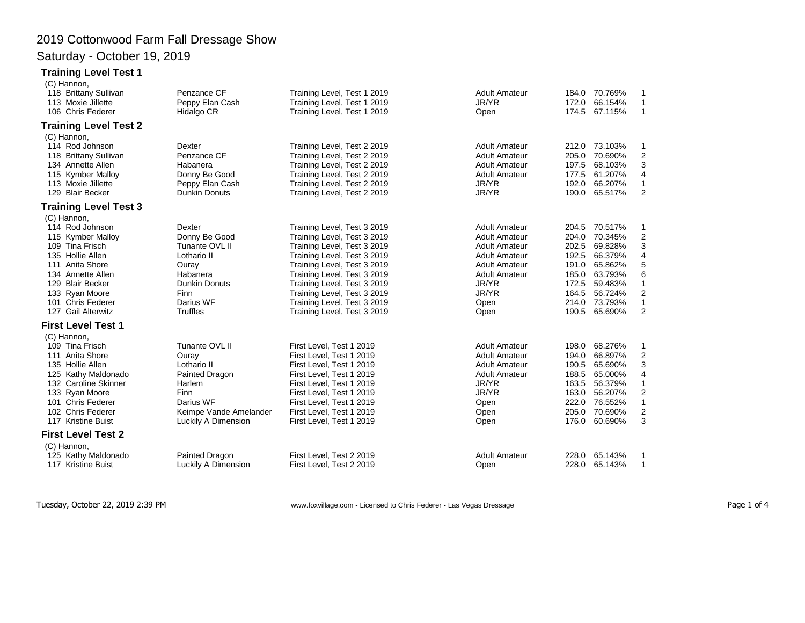# 2019 Cottonwood Farm Fall Dressage Show

### Saturday - October 19, 2019

#### **Training Level Test 1**

| (C) Hannon,                  |                        |                             |                      |               |         |                         |
|------------------------------|------------------------|-----------------------------|----------------------|---------------|---------|-------------------------|
| 118 Brittany Sullivan        | Penzance CF            | Training Level, Test 1 2019 | <b>Adult Amateur</b> | 184.0 70.769% |         | 1                       |
| 113 Moxie Jillette           | Peppy Elan Cash        | Training Level, Test 1 2019 | JR/YR                | 172.0         | 66.154% | 1                       |
| 106 Chris Federer            | Hidalgo CR             | Training Level, Test 1 2019 | Open                 | 174.5         | 67.115% | $\mathbf{1}$            |
| <b>Training Level Test 2</b> |                        |                             |                      |               |         |                         |
| (C) Hannon,                  |                        |                             |                      |               |         |                         |
| 114 Rod Johnson              | Dexter                 | Training Level, Test 2 2019 | <b>Adult Amateur</b> | 212.0 73.103% |         | 1                       |
| 118 Brittany Sullivan        | Penzance CF            | Training Level, Test 2 2019 | <b>Adult Amateur</b> | 205.0         | 70.690% | $\overline{2}$          |
| 134 Annette Allen            | Habanera               | Training Level, Test 2 2019 | <b>Adult Amateur</b> | 197.5         | 68.103% | 3                       |
| 115 Kymber Malloy            | Donny Be Good          | Training Level, Test 2 2019 | <b>Adult Amateur</b> | 177.5         | 61.207% | $\overline{4}$          |
| 113 Moxie Jillette           | Peppy Elan Cash        | Training Level, Test 2 2019 | JR/YR                | 192.0         | 66.207% | 1                       |
| 129 Blair Becker             | <b>Dunkin Donuts</b>   | Training Level, Test 2 2019 | JR/YR                | 190.0         | 65.517% | $\overline{2}$          |
| <b>Training Level Test 3</b> |                        |                             |                      |               |         |                         |
| (C) Hannon,                  |                        |                             |                      |               |         |                         |
| 114 Rod Johnson              | Dexter                 | Training Level, Test 3 2019 | <b>Adult Amateur</b> | 204.5         | 70.517% | 1                       |
| 115 Kymber Malloy            | Donny Be Good          | Training Level, Test 3 2019 | <b>Adult Amateur</b> | 204.0         | 70.345% | $\boldsymbol{2}$        |
| 109 Tina Frisch              | Tunante OVL II         | Training Level, Test 3 2019 | <b>Adult Amateur</b> | 202.5         | 69.828% | 3                       |
| 135 Hollie Allen             | Lothario II            | Training Level, Test 3 2019 | <b>Adult Amateur</b> | 192.5         | 66.379% | 4                       |
| 111 Anita Shore              | Ouray                  | Training Level, Test 3 2019 | <b>Adult Amateur</b> | 191.0         | 65.862% | 5                       |
| 134 Annette Allen            | Habanera               | Training Level, Test 3 2019 | <b>Adult Amateur</b> | 185.0         | 63.793% | 6                       |
| 129 Blair Becker             | Dunkin Donuts          | Training Level, Test 3 2019 | JR/YR                | 172.5         | 59.483% | 1                       |
| 133 Ryan Moore               | <b>Finn</b>            | Training Level, Test 3 2019 | JR/YR                | 164.5         | 56.724% | $\overline{2}$          |
| 101 Chris Federer            | Darius WF              | Training Level, Test 3 2019 | Open                 | 214.0         | 73.793% | $\mathbf{1}$            |
| 127 Gail Alterwitz           | <b>Truffles</b>        | Training Level, Test 3 2019 | Open                 | 190.5         | 65.690% | $\boldsymbol{2}$        |
| <b>First Level Test 1</b>    |                        |                             |                      |               |         |                         |
| (C) Hannon,                  |                        |                             |                      |               |         |                         |
| 109 Tina Frisch              | Tunante OVL II         | First Level, Test 1 2019    | <b>Adult Amateur</b> | 198.0         | 68.276% | 1                       |
| 111 Anita Shore              | Ouray                  | First Level, Test 1 2019    | <b>Adult Amateur</b> | 194.0         | 66.897% | $\overline{\mathbf{c}}$ |
| 135 Hollie Allen             | Lothario II            | First Level, Test 1 2019    | <b>Adult Amateur</b> | 190.5         | 65.690% | 3                       |
| 125 Kathy Maldonado          | Painted Dragon         | First Level, Test 1 2019    | <b>Adult Amateur</b> | 188.5         | 65.000% | 4                       |
| 132 Caroline Skinner         | Harlem                 | First Level, Test 1 2019    | JR/YR                | 163.5         | 56.379% | 1                       |
| 133 Ryan Moore               | <b>Finn</b>            | First Level, Test 1 2019    | JR/YR                | 163.0         | 56.207% | $\overline{\mathbf{c}}$ |
| 101 Chris Federer            | Darius WF              | First Level, Test 1 2019    | Open                 | 222.0         | 76.552% | $\mathbf{1}$            |
| 102 Chris Federer            | Keimpe Vande Amelander | First Level, Test 1 2019    | Open                 | 205.0         | 70.690% | $\overline{\mathbf{c}}$ |
| 117 Kristine Buist           | Luckily A Dimension    | First Level, Test 1 2019    | Open                 | 176.0         | 60.690% | 3                       |
| <b>First Level Test 2</b>    |                        |                             |                      |               |         |                         |
| (C) Hannon,                  |                        |                             |                      |               |         |                         |
| 125 Kathy Maldonado          | Painted Dragon         | First Level, Test 2 2019    | <b>Adult Amateur</b> | 228.0         | 65.143% | 1                       |
| 117 Kristine Buist           | Luckily A Dimension    | First Level, Test 2 2019    | Open                 | 228.0         | 65.143% | $\mathbf{1}$            |
|                              |                        |                             |                      |               |         |                         |

Tuesday, October 22, 2019 2:39 PM www.foxvillage.com - Licensed to Chris Federer - Las Vegas Dressage Page 1 of 4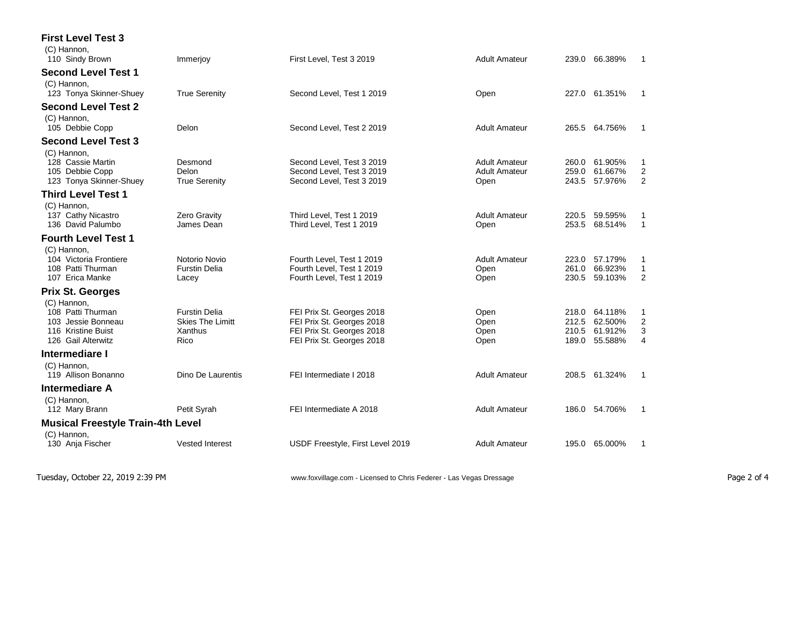| <b>First Level Test 3</b>                |                         |                                  |                      |                             |                     |
|------------------------------------------|-------------------------|----------------------------------|----------------------|-----------------------------|---------------------|
| (C) Hannon.<br>110 Sindy Brown           | Immerjoy                | First Level, Test 3 2019         | <b>Adult Amateur</b> | 239.0 66.389%               | 1                   |
| <b>Second Level Test 1</b>               |                         |                                  |                      |                             |                     |
| (C) Hannon,<br>123 Tonya Skinner-Shuey   | <b>True Serenity</b>    | Second Level, Test 1 2019        | Open                 | 227.0<br>61.351%            | 1                   |
| <b>Second Level Test 2</b>               |                         |                                  |                      |                             |                     |
| (C) Hannon,<br>105 Debbie Copp           | Delon                   | Second Level, Test 2 2019        | <b>Adult Amateur</b> | 265.5 64.756%               | 1                   |
| <b>Second Level Test 3</b>               |                         |                                  |                      |                             |                     |
| (C) Hannon,                              |                         |                                  |                      |                             |                     |
| 128 Cassie Martin                        | Desmond                 | Second Level, Test 3 2019        | <b>Adult Amateur</b> | 61.905%<br>260.0            | 1                   |
| 105 Debbie Copp                          | Delon                   | Second Level, Test 3 2019        | <b>Adult Amateur</b> | 259.0<br>61.667%<br>57.976% | $\boldsymbol{2}$    |
| 123 Tonya Skinner-Shuey                  | <b>True Serenity</b>    | Second Level, Test 3 2019        | Open                 | 243.5                       | $\overline{2}$      |
| <b>Third Level Test 1</b>                |                         |                                  |                      |                             |                     |
| (C) Hannon,<br>137 Cathy Nicastro        | <b>Zero Gravity</b>     | Third Level, Test 1 2019         | <b>Adult Amateur</b> | 59.595%<br>220.5            | 1                   |
| 136 David Palumbo                        | James Dean              | Third Level, Test 1 2019         | Open                 | 253.5<br>68.514%            | $\mathbf{1}$        |
| <b>Fourth Level Test 1</b>               |                         |                                  |                      |                             |                     |
| (C) Hannon.                              |                         |                                  |                      |                             |                     |
| 104 Victoria Frontiere                   | Notorio Novio           | Fourth Level, Test 1 2019        | <b>Adult Amateur</b> | 57.179%<br>223.0            | 1                   |
| 108 Patti Thurman                        | <b>Furstin Delia</b>    | Fourth Level, Test 1 2019        | Open                 | 66.923%<br>261.0            | 1<br>$\overline{2}$ |
| 107 Erica Manke                          | Lacey                   | Fourth Level, Test 1 2019        | Open                 | 230.5<br>59.103%            |                     |
| <b>Prix St. Georges</b>                  |                         |                                  |                      |                             |                     |
| (C) Hannon,<br>108 Patti Thurman         | <b>Furstin Delia</b>    | FEI Prix St. Georges 2018        | Open                 | 64.118%<br>218.0            | 1                   |
| 103 Jessie Bonneau                       | <b>Skies The Limitt</b> | FEI Prix St. Georges 2018        | Open                 | 212.5<br>62.500%            | $\overline{2}$      |
| 116 Kristine Buist                       | Xanthus                 | FEI Prix St. Georges 2018        | Open                 | 210.5<br>61.912%            | 3                   |
| 126 Gail Alterwitz                       | Rico                    | FEI Prix St. Georges 2018        | Open                 | 55.588%<br>189.0            | $\overline{4}$      |
| <b>Intermediare I</b>                    |                         |                                  |                      |                             |                     |
| (C) Hannon,                              |                         |                                  |                      |                             |                     |
| 119 Allison Bonanno                      | Dino De Laurentis       | FEI Intermediate I 2018          | <b>Adult Amateur</b> | 208.5<br>61.324%            | 1                   |
| <b>Intermediare A</b>                    |                         |                                  |                      |                             |                     |
| (C) Hannon,                              |                         |                                  |                      |                             |                     |
| 112 Mary Brann                           | Petit Syrah             | FEI Intermediate A 2018          | <b>Adult Amateur</b> | 54.706%<br>186.0            | 1                   |
| <b>Musical Freestyle Train-4th Level</b> |                         |                                  |                      |                             |                     |
| (C) Hannon,                              |                         |                                  |                      |                             |                     |
| 130 Anja Fischer                         | <b>Vested Interest</b>  | USDF Freestyle, First Level 2019 | <b>Adult Amateur</b> | 195.0<br>65.000%            | 1                   |
|                                          |                         |                                  |                      |                             |                     |
|                                          |                         |                                  |                      |                             |                     |

Tuesday, October 22, 2019 2:39 PM **WEIGHT WWW.foxvillage.com - Licensed to Chris Federer - Las Vegas Dressage** Page 2 of 4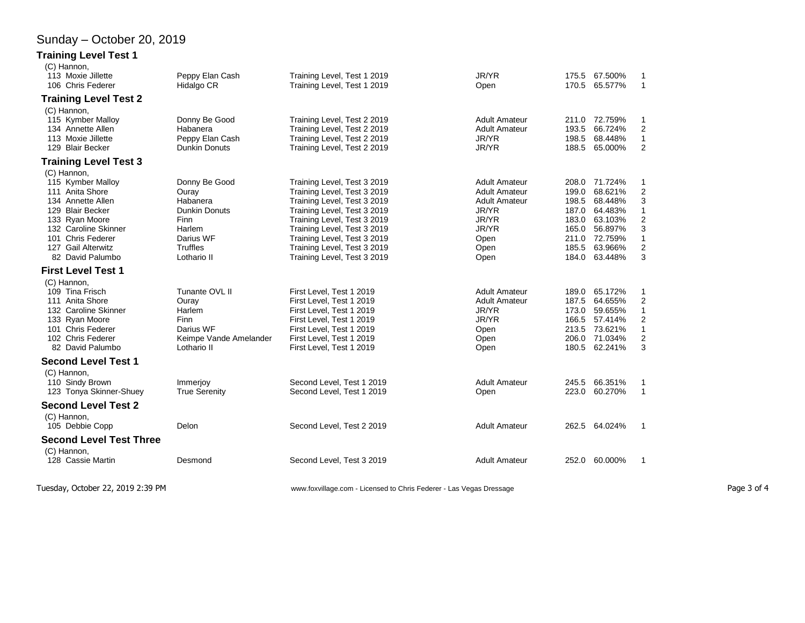## Sunday – October 20, 2019

#### **Training Level Test 1**

| (C) Hannon,<br>113 Moxie Jillette                                                                                                                                                                     | Peppy Elan Cash                                                                                               | Training Level, Test 1 2019                                                                                                                                                                                                                                                         | JR/YR                                                                                                                   | 175.5                                                                | 67.500%                                                                                               | 1                                                                                             |
|-------------------------------------------------------------------------------------------------------------------------------------------------------------------------------------------------------|---------------------------------------------------------------------------------------------------------------|-------------------------------------------------------------------------------------------------------------------------------------------------------------------------------------------------------------------------------------------------------------------------------------|-------------------------------------------------------------------------------------------------------------------------|----------------------------------------------------------------------|-------------------------------------------------------------------------------------------------------|-----------------------------------------------------------------------------------------------|
| 106 Chris Federer                                                                                                                                                                                     | Hidalgo CR                                                                                                    | Training Level, Test 1 2019                                                                                                                                                                                                                                                         | Open                                                                                                                    | 170.5                                                                | 65.577%                                                                                               | $\mathbf{1}$                                                                                  |
| <b>Training Level Test 2</b>                                                                                                                                                                          |                                                                                                               |                                                                                                                                                                                                                                                                                     |                                                                                                                         |                                                                      |                                                                                                       |                                                                                               |
| (C) Hannon,<br>115 Kymber Malloy<br>134 Annette Allen<br>113 Moxie Jillette<br>129 Blair Becker                                                                                                       | Donny Be Good<br>Habanera<br>Peppy Elan Cash<br><b>Dunkin Donuts</b>                                          | Training Level, Test 2 2019<br>Training Level, Test 2 2019<br>Training Level, Test 2 2019<br>Training Level, Test 2 2019                                                                                                                                                            | <b>Adult Amateur</b><br><b>Adult Amateur</b><br>JR/YR<br>JR/YR                                                          | 193.5<br>198.5<br>188.5                                              | 211.0 72.759%<br>66.724%<br>68.448%<br>65.000%                                                        | 1<br>$\overline{2}$<br>$\mathbf{1}$<br>$\overline{2}$                                         |
| <b>Training Level Test 3</b>                                                                                                                                                                          |                                                                                                               |                                                                                                                                                                                                                                                                                     |                                                                                                                         |                                                                      |                                                                                                       |                                                                                               |
| (C) Hannon,<br>115 Kymber Malloy<br>111 Anita Shore<br>134 Annette Allen<br>129 Blair Becker<br>133 Ryan Moore<br>132 Caroline Skinner<br>101 Chris Federer<br>127 Gail Alterwitz<br>82 David Palumbo | Donny Be Good<br>Ouray<br>Habanera<br>Dunkin Donuts<br>Finn<br>Harlem<br>Darius WF<br>Truffles<br>Lothario II | Training Level, Test 3 2019<br>Training Level, Test 3 2019<br>Training Level, Test 3 2019<br>Training Level, Test 3 2019<br>Training Level, Test 3 2019<br>Training Level, Test 3 2019<br>Training Level, Test 3 2019<br>Training Level, Test 3 2019<br>Training Level, Test 3 2019 | <b>Adult Amateur</b><br><b>Adult Amateur</b><br><b>Adult Amateur</b><br>JR/YR<br>JR/YR<br>JR/YR<br>Open<br>Open<br>Open | 199.0<br>198.5<br>187.0<br>183.0<br>165.0<br>211.0<br>185.5<br>184.0 | 208.0 71.724%<br>68.621%<br>68.448%<br>64.483%<br>63.103%<br>56.897%<br>72.759%<br>63.966%<br>63.448% | 1<br>$\boldsymbol{2}$<br>3<br>1<br>$\overline{2}$<br>3<br>$\mathbf{1}$<br>$\overline{2}$<br>3 |
| <b>First Level Test 1</b>                                                                                                                                                                             |                                                                                                               |                                                                                                                                                                                                                                                                                     |                                                                                                                         |                                                                      |                                                                                                       |                                                                                               |
|                                                                                                                                                                                                       |                                                                                                               |                                                                                                                                                                                                                                                                                     |                                                                                                                         |                                                                      |                                                                                                       |                                                                                               |
| (C) Hannon,<br>109 Tina Frisch<br>111 Anita Shore<br>132 Caroline Skinner<br>133 Ryan Moore<br>101 Chris Federer<br>102 Chris Federer<br>82 David Palumbo                                             | Tunante OVL II<br>Ouray<br>Harlem<br><b>Finn</b><br>Darius WF<br>Keimpe Vande Amelander<br>Lothario II        | First Level, Test 1 2019<br>First Level, Test 1 2019<br>First Level, Test 1 2019<br>First Level, Test 1 2019<br>First Level, Test 1 2019<br>First Level. Test 1 2019<br>First Level, Test 1 2019                                                                                    | <b>Adult Amateur</b><br><b>Adult Amateur</b><br>JR/YR<br>JR/YR<br>Open<br>Open<br>Open                                  | 189.0<br>187.5<br>173.0<br>166.5<br>213.5<br>206.0<br>180.5          | 65.172%<br>64.655%<br>59.655%<br>57.414%<br>73.621%<br>71.034%<br>62.241%                             | 1<br>$\overline{\mathbf{c}}$<br>1<br>$\overline{2}$<br>$\mathbf{1}$<br>$\overline{2}$<br>3    |
| <b>Second Level Test 1</b>                                                                                                                                                                            |                                                                                                               |                                                                                                                                                                                                                                                                                     |                                                                                                                         |                                                                      |                                                                                                       |                                                                                               |
| (C) Hannon,<br>110 Sindy Brown<br>123 Tonya Skinner-Shuey                                                                                                                                             | Immerjoy<br><b>True Serenity</b>                                                                              | Second Level, Test 1 2019<br>Second Level, Test 1 2019                                                                                                                                                                                                                              | <b>Adult Amateur</b><br>Open                                                                                            | 245.5<br>223.0                                                       | 66.351%<br>60.270%                                                                                    | 1<br>$\mathbf{1}$                                                                             |
| <b>Second Level Test 2</b>                                                                                                                                                                            |                                                                                                               |                                                                                                                                                                                                                                                                                     |                                                                                                                         |                                                                      |                                                                                                       |                                                                                               |
| (C) Hannon,<br>105 Debbie Copp                                                                                                                                                                        | Delon                                                                                                         | Second Level, Test 2 2019                                                                                                                                                                                                                                                           | <b>Adult Amateur</b>                                                                                                    |                                                                      | 262.5 64.024%                                                                                         | 1                                                                                             |
| <b>Second Level Test Three</b>                                                                                                                                                                        |                                                                                                               |                                                                                                                                                                                                                                                                                     |                                                                                                                         |                                                                      |                                                                                                       |                                                                                               |
| (C) Hannon,<br>128 Cassie Martin                                                                                                                                                                      | Desmond                                                                                                       | Second Level, Test 3 2019                                                                                                                                                                                                                                                           | <b>Adult Amateur</b>                                                                                                    | 252.0                                                                | 60.000%                                                                                               | 1                                                                                             |
|                                                                                                                                                                                                       |                                                                                                               |                                                                                                                                                                                                                                                                                     |                                                                                                                         |                                                                      |                                                                                                       |                                                                                               |

Tuesday, October 22, 2019 2:39 PM www.foxvillage.com - Licensed to Chris Federer - Las Vegas Dressage Page 3 of 4